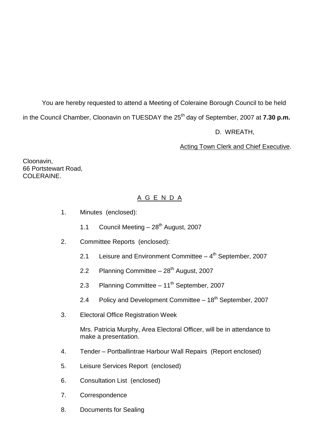You are hereby requested to attend a Meeting of Coleraine Borough Council to be held in the Council Chamber, Cloonavin on TUESDAY the 25 th day of September, 2007 at **7.30 p.m.** D. WREATH,

Acting Town Clerk and Chief Executive.

Cloonavin, 66 Portstewart Road, COLERAINE.

# A G E N D A

- 1. Minutes (enclosed):
	- 1.1 Council Meeting 28<sup>th</sup> August, 2007
- 2. Committee Reports (enclosed):
	- 2.1 Leisure and Environment Committee  $-$  4<sup>th</sup> September, 2007
	- 2.2 Planning Committee  $-28<sup>th</sup>$  August, 2007
	- 2.3 Planning Committee  $-11^{th}$  September, 2007
	- 2.4 Policy and Development Committee 18<sup>th</sup> September, 2007
- 3. Electoral Office Registration Week

Mrs. Patricia Murphy, Area Electoral Officer, will be in attendance to make a presentation.

- 4. Tender –Portballintrae Harbour Wall Repairs (Report enclosed)
- 5. Leisure Services Report (enclosed)
- 6. Consultation List (enclosed)
- 7. Correspondence
- 8. Documents for Sealing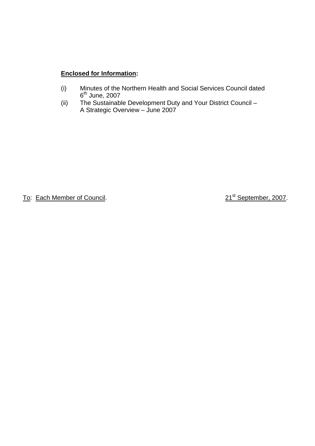# **Enclosed for Information:**

- (i) Minutes of the Northern Health and Social Services Council dated 6<sup>th</sup> June, 2007
- (ii) The Sustainable Development Duty and Your District Council A Strategic Overview - June 2007

To: Each Member of Council. 21st September, 2007.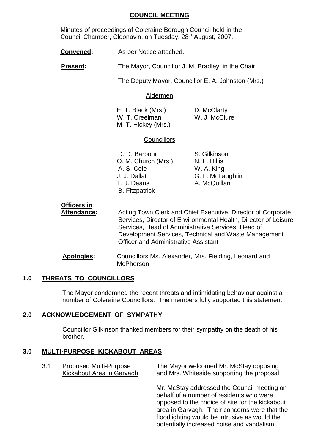#### **COUNCIL MEETING**

Minutes of proceedings of Coleraine Borough Council held in the Council Chamber, Cloonavin, on Tuesday, 28<sup>th</sup> August, 2007.

- **Convened:** As per Notice attached.
- **Present:** The Mayor, Councillor J. M. Bradley, in the Chair

The Deputy Mayor, Councillor E. A. Johnston (Mrs.)

#### Aldermen

| E. T. Black (Mrs.)  |  |
|---------------------|--|
| W. T. Creelman      |  |
| M. T. Hickey (Mrs.) |  |

D. McClarty W. J. McClure

#### **Councillors**

D. D. Barbour S. Gilkinson O. M. Church (Mrs.) N. F. Hillis A. S. Cole W. A. King J. J. Dallat G. L. McLaughlin T. J. Deans A. McQuillan B. Fitzpatrick

# **Officers in**

Attendance: Acting Town Clerk and Chief Executive, Director of Corporate Services, Director of Environmental Health, Director of Leisure Services, Head of Administrative Services, Head of Development Services, Technical and Waste Management Officer and Administrative Assistant

**Apologies:** Councillors Ms. Alexander, Mrs. Fielding, Leonard and **McPherson** 

## **1.0 THREATS TO COUNCILLORS**

The Mayor condemned the recent threats and intimidating behaviour against a number of Coleraine Councillors. The members fully supported this statement.

#### **2.0 ACKNOWLEDGEMENT OF SYMPATHY**

Councillor Gilkinson thanked members for their sympathy on the death of his brother.

#### **3.0 MULTI-PURPOSE KICKABOUT AREAS**

3.1 Proposed Multi-Purpose The Mayor welcomed Mr. McStay opposing Kickabout Area in Garvagh and Mrs. Whiteside supporting the proposal.

> Mr. McStay addressed the Council meeting on behalf of a number of residents who were opposed to the choice of site for the kickabout area in Garvagh. Their concerns were that the floodlighting would be intrusive as would the potentially increased noise and vandalism.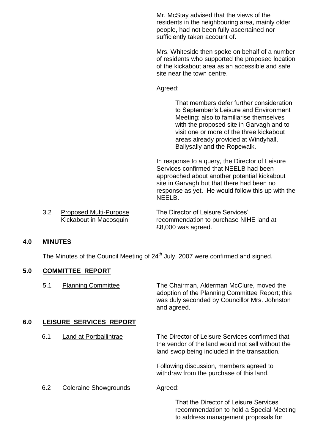Mr. McStay advised that the views of the residents in the neighbouring area, mainly older people, had not been fully ascertained nor sufficiently taken account of.

Mrs. Whiteside then spoke on behalf of a number of residents who supported the proposed location of the kickabout area as an accessible and safe site near the town centre.

Agreed:

That members defer further consideration to September's Leisure and Environment Meeting; also to familiarise themselves with the proposed site in Garvagh and to visit one or more of the three kickabout areas already provided at Windyhall, Ballysally and the Ropewalk.

In response to a query, the Director of Leisure Services confirmed that NEELB had been approached about another potential kickabout site in Garvagh but that there had been no response as yet. He would follow this up with the NEELB.

to address management proposals for

3.2 Proposed Multi-Purpose The Director of Leisure Services' Kickabout in Macosquin recommendation to purchase NIHE land at £8,000 was agreed.

## **4.0 MINUTES**

The Minutes of the Council Meeting of 24<sup>th</sup> July, 2007 were confirmed and signed.

#### **5.0 COMMITTEE REPORT**

5.1 Planning Committee The Chairman, Alderman McClure, moved the adoption of the Planning Committee Report; this was duly seconded by Councillor Mrs. Johnston and agreed.

#### **6.0 LEISURE SERVICES REPORT**

| 6.1 | Land at Portballintrae       | The Director of Leisure Services confirmed that<br>the vendor of the land would not sell without the<br>land swop being included in the transaction. |
|-----|------------------------------|------------------------------------------------------------------------------------------------------------------------------------------------------|
|     |                              | Following discussion, members agreed to<br>withdraw from the purchase of this land.                                                                  |
| 6.2 | <b>Coleraine Showgrounds</b> | Agreed:                                                                                                                                              |
|     |                              | That the Director of Leisure Services'<br>recommendation to hold a Special Meeting                                                                   |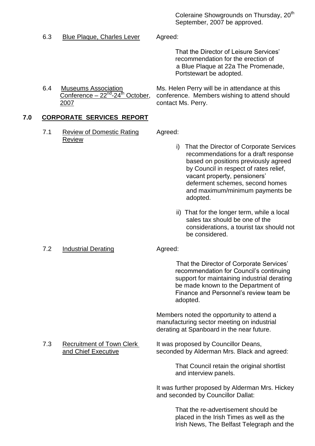Coleraine Showgrounds on Thursday, 20<sup>th</sup> September, 2007 be approved.

6.3 Blue Plaque, Charles Lever Agreed:

That the Director of Leisure Services' recommendation for the erection of a Blue Plaque at 22a The Promenade, Portstewart be adopted.

Conference  $-22^{nd}$ -24<sup>th</sup> October, 2007 contact Ms. Perry.

6.4 Museums Association Ms. Helen Perry will be in attendance at this conference. Members wishing to attend should

# **7.0 CORPORATE SERVICES REPORT**

7.1 Review of Domestic Rating Agreed: Review

- i) That the Director of Corporate Services recommendations for a draft response based on positions previously agreed by Council in respect of rates relief, vacant property, pensioners' deferment schemes, second homes and maximum/minimum payments be adopted.
- ii) That for the longer term, while a local sales tax should be one of the considerations, a tourist tax should not be considered.

#### 7.2 Industrial Derating **Agreed:**

That the Director of Corporate Services' recommendation for Council's continuing support for maintaining industrial derating be made known to the Department of Finance and Personnel's review team be adopted.

Members noted the opportunity to attend a manufacturing sector meeting on industrial derating at Spanboard in the near future.

# 7.3 Recruitment of Town Clerk It was proposed by Councillor Deans, and Chief Executive seconded by Alderman Mrs. Black and agreed:

That Council retain the original shortlist and interview panels.

It was further proposed by Alderman Mrs. Hickey and seconded by Councillor Dallat:

> That the re-advertisement should be placed in the Irish Times as well as the Irish News, The Belfast Telegraph and the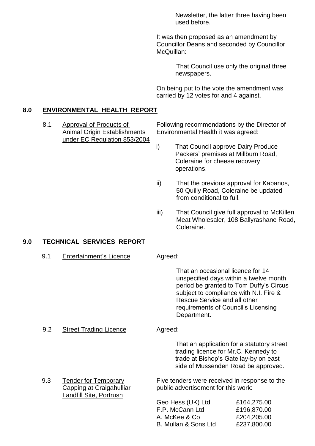Newsletter, the latter three having been used before.

It was then proposed as an amendment by Councillor Deans and seconded by Councillor McQuillan:

> That Council use only the original three newspapers.

On being put to the vote the amendment was carried by 12 votes for and 4 against.

#### **8.0 ENVIRONMENTAL HEALTH REPORT**

under EC Regulation 853/2004

8.1 Approval of Products of Following recommendations by the Director of Animal Origin Establishments Environmental Health it was agreed:

- i) That Council approve Dairy Produce Packers' premises at Millburn Road, Coleraine for cheese recovery operations.
- ii) That the previous approval for Kabanos, 50 Quilly Road, Coleraine be updated from conditional to full.
- iii) That Council give full approval to McKillen Meat Wholesaler, 108 Ballyrashane Road, Coleraine.

#### **9.0 TECHNICAL SERVICES REPORT**

9.1 Entertainment's Licence Agreed:

That an occasional licence for 14 unspecified days within a twelve month period be granted to Tom Duffy's Circus subject to compliance with N.I. Fire & Rescue Service and all other requirements of Council's Licensing Department.

#### 9.2 Street Trading Licence **Agreed:**

That an application for a statutory street trading licence for Mr.C. Kennedy to trade at Bishop's Gate lay-by on east side of Mussenden Road be approved.

9.3 Tender for Temporary Five tenders were received in response to the Capping at Craigahulliar public advertisement for this work:

| £164,275.00 |
|-------------|
| £196,870.00 |
| £204,205.00 |
| £237,800.00 |
|             |

Landfill Site, Portrush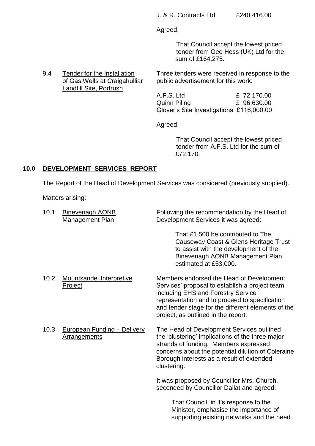Agreed:

That Council accept the lowest priced tender from Geo Hess (UK) Ltd for the sum of £164,275.

9.4 Tender for the Installation Three tenders were received in response to the of Gas Wells at Craigahulliar public advertisement for this work: Landfill Site, Portrush A.F.S. Ltd £ 72,170.00

> Quinn Piling £ 96,630.00 Glover's Site Investigations £116,000.00

Agreed:

That Council accept the lowest priced tender from A.F.S. Ltd for the sum of £72,170.

## **10.0 DEVELOPMENT SERVICES REPORT**

The Report of the Head of Development Services was considered (previously supplied).

Matters arising:

| 10.1 | <b>Binevenagh AONB</b><br>Management Plan                 | Following the recommendation by the Head of<br>Development Services it was agreed:                                                                                                                                                                                              |
|------|-----------------------------------------------------------|---------------------------------------------------------------------------------------------------------------------------------------------------------------------------------------------------------------------------------------------------------------------------------|
|      |                                                           | That £1,500 be contributed to The<br>Causeway Coast & Glens Heritage Trust<br>to assist with the development of the<br>Binevenagh AONB Management Plan,<br>estimated at £53,000.                                                                                                |
| 10.2 | <b>Mountsandel Interpretive</b><br>Project                | Members endorsed the Head of Development<br>Services' proposal to establish a project team<br>including EHS and Forestry Service<br>representation and to proceed to specification<br>and tender stage for the different elements of the<br>project, as outlined in the report. |
| 10.3 | <b>European Funding - Delivery</b><br><b>Arrangements</b> | The Head of Development Services outlined<br>the 'clustering' implications of the three major<br>strands of funding. Members expressed<br>concerns about the potential dilution of Coleraine<br>Borough interests as a result of extended<br>clustering.                        |
|      |                                                           | It was proposed by Councillor Mrs. Church,<br>seconded by Councillor Dallat and agreed:                                                                                                                                                                                         |
|      |                                                           | That Council, in it's response to the<br>Minister, emphasise the importance of<br>supporting existing networks and the need                                                                                                                                                     |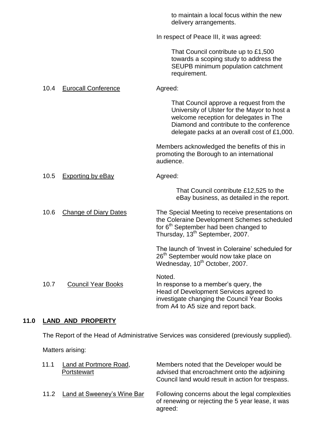|      |                              | to maintain a local focus within the new<br>delivery arrangements.                                                                                                                                                            |
|------|------------------------------|-------------------------------------------------------------------------------------------------------------------------------------------------------------------------------------------------------------------------------|
|      |                              | In respect of Peace III, it was agreed:                                                                                                                                                                                       |
|      |                              | That Council contribute up to £1,500<br>towards a scoping study to address the<br>SEUPB minimum population catchment<br>requirement.                                                                                          |
| 10.4 | <b>Eurocall Conference</b>   | Agreed:                                                                                                                                                                                                                       |
|      |                              | That Council approve a request from the<br>University of Ulster for the Mayor to host a<br>welcome reception for delegates in The<br>Diamond and contribute to the conference<br>delegate packs at an overall cost of £1,000. |
|      |                              | Members acknowledged the benefits of this in<br>promoting the Borough to an international<br>audience.                                                                                                                        |
| 10.5 | <b>Exporting by eBay</b>     | Agreed:                                                                                                                                                                                                                       |
|      |                              | That Council contribute £12,525 to the<br>eBay business, as detailed in the report.                                                                                                                                           |
| 10.6 | <b>Change of Diary Dates</b> | The Special Meeting to receive presentations on<br>the Coleraine Development Schemes scheduled<br>for 6 <sup>th</sup> September had been changed to<br>Thursday, 13 <sup>th</sup> September, 2007.                            |
|      |                              | The launch of 'Invest in Coleraine' scheduled for<br>26 <sup>th</sup> September would now take place on<br>Wednesday, 10 <sup>th</sup> October, 2007.                                                                         |
| 10.7 | <b>Council Year Books</b>    | Noted.<br>In response to a member's query, the<br>Head of Development Services agreed to<br>investigate changing the Council Year Books<br>from A4 to A5 size and report back.                                                |

# **11.0 LAND AND PROPERTY**

The Report of the Head of Administrative Services was considered (previously supplied).

Matters arising:

| 11.1 | Land at Portmore Road,<br>Portstewart | Members noted that the Developer would be<br>advised that encroachment onto the adjoining<br>Council land would result in action for trespass. |
|------|---------------------------------------|------------------------------------------------------------------------------------------------------------------------------------------------|
|      | 11.2 Land at Sweeney's Wine Bar       | Following concerns about the legal complexities<br>of renewing or rejecting the 5 year lease, it was<br>agreed:                                |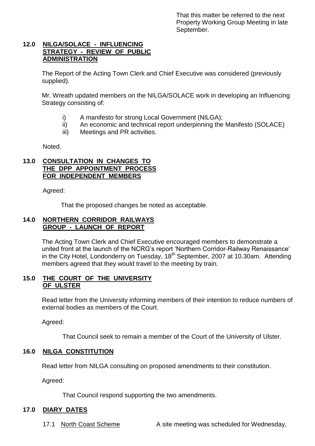That this matter be referred to the next Property Working Group Meeting in late September.

#### **12.0 NILGA/SOLACE - INFLUENCING STRATEGY - REVIEW OF PUBLIC ADMINISTRATION**

The Report of the Acting Town Clerk and Chief Executive was considered (previously supplied).

Mr. Wreath updated members on the NILGA/SOLACE work in developing an Influencing Strategy consisting of:

- i) A manifesto for strong Local Government (NILGA);
- ii) An economic and technical report underpinning the Manifesto (SOLACE)
- iii) Meetings and PR activities.

Noted.

#### **13.0 CONSULTATION IN CHANGES TO THE DPP APPOINTMENT PROCESS FOR INDEPENDENT MEMBERS**

Agreed:

That the proposed changes be noted as acceptable.

#### **14.0 NORTHERN CORRIDOR RAILWAYS GROUP - LAUNCH OF REPORT**

The Acting Town Clerk and Chief Executive encouraged members to demonstrate a united front at the launch of the NCRG's report 'Northern Corridor-Railway Renaissance' in the City Hotel, Londonderry on Tuesday,  $18<sup>th</sup>$  September, 2007 at 10.30am. Attending members agreed that they would travel to the meeting by train.

#### **15.0 THE COURT OF THE UNIVERSITY OF ULSTER**

Read letter from the University informing members of their intention to reduce numbers of external bodies as members of the Court.

Agreed:

That Council seek to remain a member of the Court of the University of Ulster.

#### **16.0 NILGA CONSTITUTION**

Read letter from NILGA consulting on proposed amendments to their constitution.

Agreed:

That Council respond supporting the two amendments.

## **17.0 DIARY DATES**

17.1 North Coast Scheme A site meeting was scheduled for Wednesday,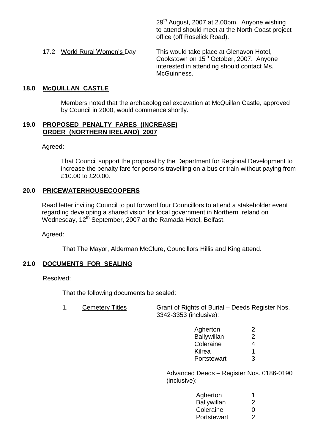29<sup>th</sup> August, 2007 at 2.00pm. Anyone wishing to attend should meet at the North Coast project office (off Roselick Road).

17.2 World Rural Women's Day This would take place at Glenavon Hotel, Cookstown on 15<sup>th</sup> October, 2007. Anyone interested in attending should contact Ms. McGuinness.

#### **18.0 McQUILLAN CASTLE**

Members noted that the archaeological excavation at McQuillan Castle, approved by Council in 2000, would commence shortly.

#### **19.0 PROPOSED PENALTY FARES (INCREASE) ORDER (NORTHERN IRELAND) 2007**

Agreed:

That Council support the proposal by the Department for Regional Development to increase the penalty fare for persons travelling on a bus or train without paying from £10.00 to £20.00.

#### **20.0 PRICEWATERHOUSECOOPERS**

Read letter inviting Council to put forward four Councillors to attend a stakeholder event regarding developing a shared vision for local government in Northern Ireland on Wednesday, 12<sup>th</sup> September, 2007 at the Ramada Hotel, Belfast.

Agreed:

That The Mayor, Alderman McClure, Councillors Hillis and King attend.

## **21.0 DOCUMENTS FOR SEALING**

Resolved:

That the following documents be sealed:

| <b>Cemetery Titles</b> | Grant of Rights of Burial – Deeds Register Nos. |
|------------------------|-------------------------------------------------|
|                        | 3342-3353 (inclusive):                          |

| Agherton      | 2 |
|---------------|---|
| Ballywillan   | 2 |
| Coleraine     | 4 |
| <b>Kilrea</b> | 1 |
| Portstewart   | З |

Advanced Deeds - Register Nos. 0186-0190 (inclusive):

| Agherton           |                   |
|--------------------|-------------------|
| <b>Ballywillan</b> | 2                 |
| Coleraine          | $\mathbf{\Omega}$ |
| Portstewart        | 2                 |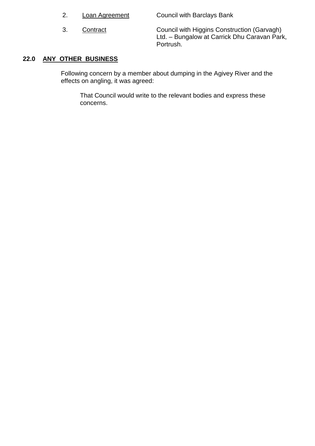|  |  | Loan Agreement |
|--|--|----------------|
|--|--|----------------|

Council with Barclays Bank

3. Contract Council with Higgins Construction (Garvagh) Ltd. – Bungalow at Carrick Dhu Caravan Park, Portrush.

# **22.0 ANY OTHER BUSINESS**

Following concern by a member about dumping in the Agivey River and the effects on angling, it was agreed:

That Council would write to the relevant bodies and express these concerns.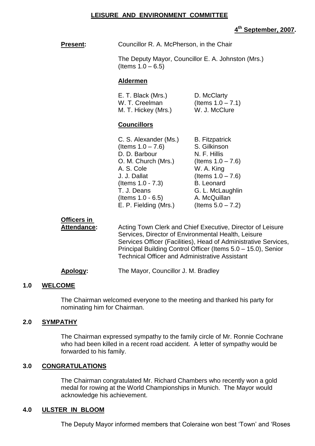#### **LEISURE AND ENVIRONMENT COMMITTEE**

# **4 th September, 2007.**

| <b>Present:</b>            | Councillor R. A. McPherson, in the Chair                                                                                                                                                                    |                                                                                                                                                                                                      |
|----------------------------|-------------------------------------------------------------------------------------------------------------------------------------------------------------------------------------------------------------|------------------------------------------------------------------------------------------------------------------------------------------------------------------------------------------------------|
|                            | The Deputy Mayor, Councillor E. A. Johnston (Mrs.)<br>(Items $1.0 - 6.5$ )                                                                                                                                  |                                                                                                                                                                                                      |
|                            | <b>Aldermen</b>                                                                                                                                                                                             |                                                                                                                                                                                                      |
|                            | E. T. Black (Mrs.)<br>W. T. Creelman<br>M. T. Hickey (Mrs.)                                                                                                                                                 | D. McClarty<br>(Items $1.0 - 7.1$ )<br>W. J. McClure                                                                                                                                                 |
|                            | <b>Councillors</b>                                                                                                                                                                                          |                                                                                                                                                                                                      |
|                            | C. S. Alexander (Ms.)<br>(Items $1.0 - 7.6$ )<br>D. D. Barbour<br>O. M. Church (Mrs.)<br>A. S. Cole<br>J. J. Dallat<br>(Items $1.0 - 7.3$ )<br>T. J. Deans<br>(Items $1.0 - 6.5$ )<br>E. P. Fielding (Mrs.) | <b>B.</b> Fitzpatrick<br>S. Gilkinson<br>N. F. Hillis<br>(Items $1.0 - 7.6$ )<br>W. A. King<br>(Items $1.0 - 7.6$ )<br><b>B.</b> Leonard<br>G. L. McLaughlin<br>A. McQuillan<br>(Items $5.0 - 7.2$ ) |
| Officers in<br>Attendance: | Services, Director of Environmental Health, Leisure<br><b>Technical Officer and Administrative Assistant</b>                                                                                                | Acting Town Clerk and Chief Executive, Director of Leisure<br>Services Officer (Facilities), Head of Administrative Services,<br>Principal Building Control Officer (Items 5.0 - 15.0), Senior       |

#### **Apology:** The Mayor, Councillor J. M. Bradley

#### **1.0 WELCOME**

The Chairman welcomed everyone to the meeting and thanked his party for nominating him for Chairman.

#### **2.0 SYMPATHY**

The Chairman expressed sympathy to the family circle of Mr. Ronnie Cochrane who had been killed in a recent road accident. A letter of sympathy would be forwarded to his family.

#### **3.0 CONGRATULATIONS**

The Chairman congratulated Mr. Richard Chambers who recently won a gold medal for rowing at the World Championships in Munich. The Mayor would acknowledge his achievement.

#### **4.0 ULSTER IN BLOOM**

The Deputy Mayor informed members that Coleraine won best 'Town' and 'Roses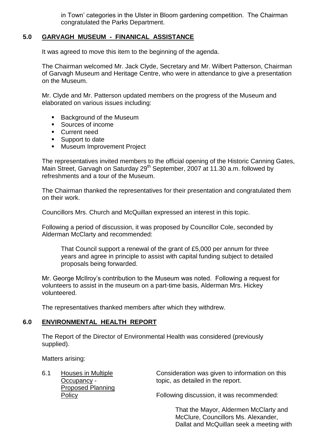in Town' categories in the Ulster in Bloom gardening competition. The Chairman congratulated the Parks Department.

# **5.0 GARVAGH MUSEUM - FINANICAL ASSISTANCE**

It was agreed to move this item to the beginning of the agenda.

The Chairman welcomed Mr. Jack Clyde, Secretary and Mr. Wilbert Patterson, Chairman of Garvagh Museum and Heritage Centre, who were in attendance to give a presentation on the Museum.

Mr. Clyde and Mr. Patterson updated members on the progress of the Museum and elaborated on various issues including:

- Background of the Museum
- Sources of income
- **Current need**
- Support to date
- **Museum Improvement Project**

The representatives invited members to the official opening of the Historic Canning Gates, Main Street, Garvagh on Saturday  $29<sup>th</sup>$  September, 2007 at 11.30 a.m. followed by refreshments and a tour of the Museum.

The Chairman thanked the representatives for their presentation and congratulated them on their work.

Councillors Mrs. Church and McQuillan expressed an interest in this topic.

Following a period of discussion, it was proposed by Councillor Cole, seconded by Alderman McClarty and recommended:

That Council support a renewal of the grant of £5,000 per annum for three years and agree in principle to assist with capital funding subject to detailed proposals being forwarded.

Mr. George McIlroy's contribution to the Museum was noted. Following a request for volunteers to assist in the museum on a part-time basis, Alderman Mrs. Hickey volunteered.

The representatives thanked members after which they withdrew.

## **6.0 ENVIRONMENTAL HEALTH REPORT**

The Report of the Director of Environmental Health was considered (previously supplied).

Matters arising:

| 6.1 | Houses in Multiple<br>Occupancy - | Consideration was given to information on this<br>topic, as detailed in the report. |
|-----|-----------------------------------|-------------------------------------------------------------------------------------|
|     | <b>Proposed Planning</b>          |                                                                                     |
|     | Policy                            | Following discussion, it was recommended:                                           |

That the Mayor, Aldermen McClarty and McClure, Councillors Ms. Alexander, Dallat and McQuillan seek a meeting with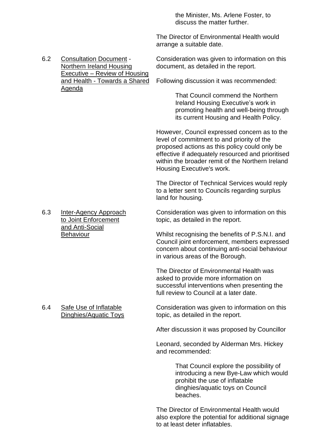the Minister, Ms. Arlene Foster, to discuss the matter further.

The Director of Environmental Health would arrange a suitable date.

Executive – Review of Housing Agenda

6.2 Consultation Document - Consideration was given to information on this Northern Ireland Housing document, as detailed in the report.

and Health - Towards a Shared Following discussion it was recommended:

That Council commend the Northern Ireland Housing Executive's work in promoting health and well-being through its current Housing and Health Policy.

However, Council expressed concern as to the level of commitment to and priority of the proposed actions as this policy could only be effective if adequately resourced and prioritised within the broader remit of the Northern Ireland Housing Executive's work.

The Director of Technical Services would reply to a letter sent to Councils regarding surplus land for housing.

6.3 Inter-Agency Approach Consideration was given to information on this to Joint Enforcement to topic, as detailed in the report. topic, as detailed in the report.

Behaviour Whilst recognising the benefits of P.S.N.I. and Council joint enforcement, members expressed concern about continuing anti-social behaviour in various areas of the Borough.

> The Director of Environmental Health was asked to provide more information on successful interventions when presenting the full review to Council at a later date.

6.4 Safe Use of Inflatable Consideration was given to information on this Dinghies/Aquatic Toys topic, as detailed in the report.

After discussion it was proposed by Councillor

Leonard, seconded by Alderman Mrs. Hickey and recommended:

> That Council explore the possibility of introducing a new Bye-Law which would prohibit the use of inflatable dinghies/aquatic toys on Council beaches.

The Director of Environmental Health would also explore the potential for additional signage to at least deter inflatables.

and Anti-Social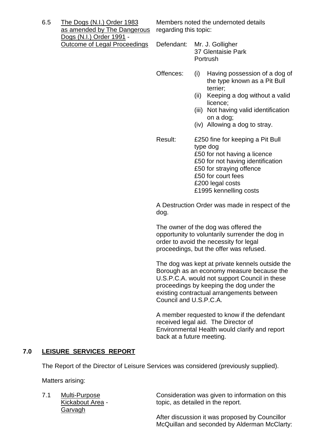6.5 The Dogs (N.I.) Order 1983 Members noted the undernoted details as amended by The Dangerous regarding this topic: Dogs (N.I.) Order 1991 - Outcome of Legal Proceedings Defendant: Mr. J. Golligher

- 37 Glentaisie Park Portrush
- Offences: (i) Having possession of a dog of the type known as a Pit Bull terrier;
	- (ii) Keeping a dog without a valid licence;
	- (iii) Not having valid identification on a dog;
	- (iv) Allowing a dog to stray.
- Result: £250 fine for keeping a Pit Bull type dog £50 for not having a licence £50 for not having identification £50 for straying offence £50 for court fees £200 legal costs £1995 kennelling costs

A Destruction Order was made in respect of the dog.

The owner of the dog was offered the opportunity to voluntarily surrender the dog in order to avoid the necessity for legal proceedings, but the offer was refused.

The dog was kept at private kennels outside the Borough as an economy measure because the U.S.P.C.A. would not support Council in these proceedings by keeping the dog under the existing contractual arrangements between Council and U.S.P.C.A.

A member requested to know if the defendant received legal aid. The Director of Environmental Health would clarify and report back at a future meeting.

# **7.0 LEISURE SERVICES REPORT**

The Report of the Director of Leisure Services was considered (previously supplied).

Matters arising:

Garvagh

7.1 Multi-Purpose Consideration was given to information on this Kickabout Area - topic, as detailed in the report.

> After discussion it was proposed by Councillor McQuillan and seconded by Alderman McClarty: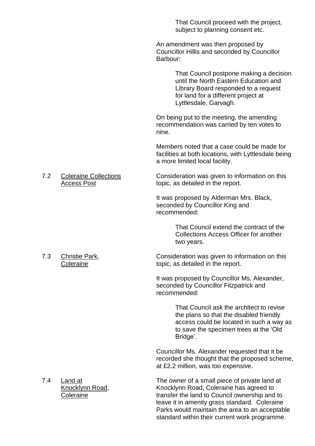That Council proceed with the project, subject to planning consent etc.

An amendment was then proposed by Councillor Hillis and seconded by Councillor Barbour:

> That Council postpone making a decision until the North Eastern Education and Library Board responded to a request for land for a different project at Lyttlesdale, Garvagh.

On being put to the meeting, the amending recommendation was carried by ten votes to nine.

Members noted that a case could be made for facilities at both locations, with Lyttlesdale being a more limited local facility.

7.2 Coleraine Collections Consideration was given to information on this Access Post topic, as detailed in the report.

> It was proposed by Alderman Mrs. Black, seconded by Councillor King and recommended:

> > That Council extend the contract of the Collections Access Officer for another two years.

7.3 Christie Park, Consideration was given to information on this Coleraine topic, as detailed in the report.

> It was proposed by Councillor Ms. Alexander, seconded by Councillor Fitzpatrick and recommended:

> > That Council ask the architect to revise the plans so that the disabled friendly access could be located in such a way as to save the specimen trees at the'Old Bridge'.

Councillor Ms. Alexander requested that it be recorded she thought that the proposed scheme, at £2.2 million, was too expensive.

7.4 Land at The owner of a small piece of private land at Knocklynn Road, Knocklynn Road, Coleraine has agreed to Coleraine transfer the land to Council ownership and to leave it in amenity grass standard. Coleraine Parks would maintain the area to an acceptable standard within their current work programme.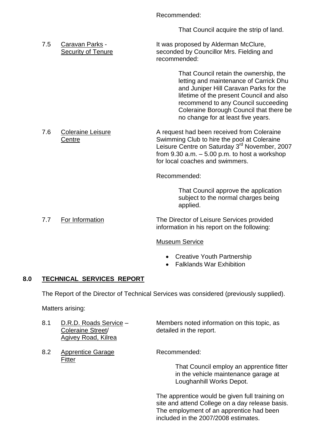Recommended:

That Council acquire the strip of land.

7.5 Caravan Parks - It was proposed by Alderman McClure, Security of Tenure seconded by Councillor Mrs. Fielding and recommended:

> That Council retain the ownership, the letting and maintenance of Carrick Dhu and Juniper Hill Caravan Parks for the lifetime of the present Council and also recommend to any Council succeeding Coleraine Borough Council that there be no change for at least five years.

7.6 Coleraine Leisure **A** request had been received from Coleraine Centre **Swimming Club to hire the pool at Coleraine** Leisure Centre on Saturday 3<sup>rd</sup> November, 2007 from  $9.30$  a.m.  $-5.00$  p.m. to host a workshop for local coaches and swimmers.

Recommended:

That Council approve the application subject to the normal charges being applied.

7.7 For Information The Director of Leisure Services provided information in his report on the following:

## Museum Service

- Creative Youth Partnership
- Falklands War Exhibition

## **8.0 TECHNICAL SERVICES REPORT**

The Report of the Director of Technical Services was considered (previously supplied).

Matters arising:

- Coleraine Street/ detailed in the report. Agivey Road, Kilrea
- 8.2 Apprentice Garage Recommended: Fitter

8.1 D.R.D. Roads Service – Members noted information on this topic, as

That Council employ an apprentice fitter in the vehicle maintenance garage at Loughanhill Works Depot.

The apprentice would be given full training on site and attend College on a day release basis. The employment of an apprentice had been included in the 2007/2008 estimates.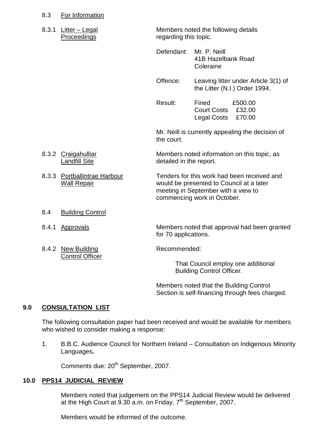#### 8.3 For Information

| 8.3.1 Litter - Legal |
|----------------------|
| Proceedings          |

Members noted the following details regarding this topic.

Defendant: Mr. P. Neill 41B Hazelbank Road Coleraine

Offence: Leaving litter under Article 3(1) of the Litter (N.I.) Order 1994.

Result: Fined £500.00 Court Costs £32.00 Legal Costs £70.00

Mr. Neill is currently appealing the decision of the court.

8.3.2 Craigahulliar Members noted information on this topic, as Landfill Site detailed in the report.

8.3.3 Portballintrae Harbour Tenders for this work had been received and Wall Repair would be presented to Council at a later meeting in September with a view to commencing work in October.

- 8.4 Building Control
- 8.4.1 Approvals **Members noted that approval had been granted**
- 8.4.2 New Building **Recommended:** Control Officer

for 70 applications.

That Council employ one additional Building Control Officer.

Members noted that the Building Control Section is self-financing through fees charged.

#### **9.0 CONSULTATION LIST**

The following consultation paper had been received and would be available for members who wished to consider making a response:

1. B.B.C. Audience Council for Northern Ireland –Consultation on Indigenous Minority Languages**.**

Comments due: 20<sup>th</sup> September, 2007.

#### **10.0 PPS14 JUDICIAL REVIEW**

Members noted that judgement on the PPS14 Judicial Review would be delivered at the High Court at  $9.30$  a.m. on Friday,  $7<sup>th</sup>$  September, 2007.

Members would be informed of the outcome.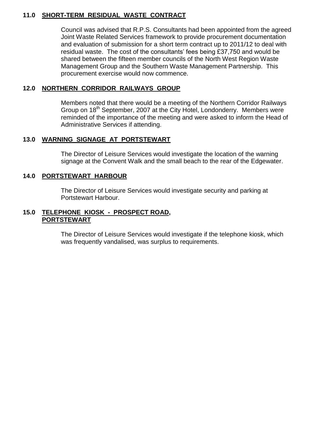#### **11.0 SHORT-TERM RESIDUAL WASTE CONTRACT**

Council was advised that R.P.S. Consultants had been appointed from the agreed Joint Waste Related Services framework to provide procurement documentation and evaluation of submission for a short term contract up to 2011/12 to deal with residual waste. The cost of the consultants' fees being £37,750 and would be shared between the fifteen member councils of the North West Region Waste Management Group and the Southern Waste Management Partnership. This procurement exercise would now commence.

## **12.0 NORTHERN CORRIDOR RAILWAYS GROUP**

Members noted that there would be a meeting of the Northern Corridor Railways Group on 18<sup>th</sup> September, 2007 at the City Hotel, Londonderry. Members were reminded of the importance of the meeting and were asked to inform the Head of Administrative Services if attending.

## **13.0 WARNING SIGNAGE AT PORTSTEWART**

The Director of Leisure Services would investigate the location of the warning signage at the Convent Walk and the small beach to the rear of the Edgewater.

## **14.0 PORTSTEWART HARBOUR**

The Director of Leisure Services would investigate security and parking at Portstewart Harbour.

#### **15.0 TELEPHONE KIOSK - PROSPECT ROAD, PORTSTEWART**

The Director of Leisure Services would investigate if the telephone kiosk, which was frequently vandalised, was surplus to requirements.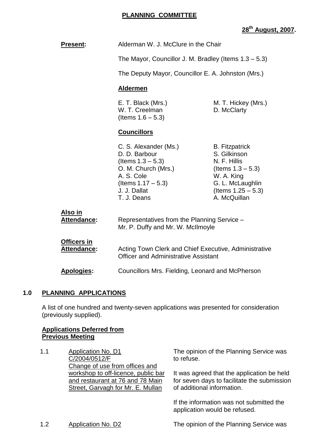# **28th August, 2007.**

| <b>Present:</b>                          | Alderman W. J. McClure in the Chair                                                                                                                         |                                                                                                                                                          |  |
|------------------------------------------|-------------------------------------------------------------------------------------------------------------------------------------------------------------|----------------------------------------------------------------------------------------------------------------------------------------------------------|--|
|                                          |                                                                                                                                                             | The Mayor, Councillor J. M. Bradley (Items $1.3 - 5.3$ )                                                                                                 |  |
|                                          |                                                                                                                                                             | The Deputy Mayor, Councillor E. A. Johnston (Mrs.)                                                                                                       |  |
|                                          | <b>Aldermen</b>                                                                                                                                             |                                                                                                                                                          |  |
|                                          | E. T. Black (Mrs.)<br>M. T. Hickey (Mrs.)<br>W. T. Creelman<br>D. McClarty<br>(Items $1.6 - 5.3$ )                                                          |                                                                                                                                                          |  |
|                                          | <b>Councillors</b>                                                                                                                                          |                                                                                                                                                          |  |
|                                          | C. S. Alexander (Ms.)<br>D. D. Barbour<br>(Items $1.3 - 5.3$ )<br>O. M. Church (Mrs.)<br>A. S. Cole<br>(Items $1.17 - 5.3$ )<br>J. J. Dallat<br>T. J. Deans | <b>B.</b> Fitzpatrick<br>S. Gilkinson<br>N. F. Hillis<br>(Items $1.3 - 5.3$ )<br>W. A. King<br>G. L. McLaughlin<br>(Items $1.25 - 5.3$ )<br>A. McQuillan |  |
| Also in<br><b>Attendance:</b>            | Representatives from the Planning Service -<br>Mr. P. Duffy and Mr. W. McIlmoyle                                                                            |                                                                                                                                                          |  |
| <b>Officers in</b><br><b>Attendance:</b> | Acting Town Clerk and Chief Executive, Administrative<br><b>Officer and Administrative Assistant</b><br>Councillors Mrs. Fielding, Leonard and McPherson    |                                                                                                                                                          |  |
| <b>Apologies:</b>                        |                                                                                                                                                             |                                                                                                                                                          |  |

## **1.0 PLANNING APPLICATIONS**

A list of one hundred and twenty-seven applications was presented for consideration (previously supplied).

## **Applications Deferred from Previous Meeting**

1.1 Application No. D1 C/2004/0512/F Change of use from offices and workshop to off-licence, public bar and restaurant at 76 and 78 Main Street, Garvagh for Mr. E. Mullan

The opinion of the Planning Service was to refuse.

It was agreed that the application be held for seven days to facilitate the submission of additional information.

If the information was not submitted the application would be refused.

1.2 Application No. D2 The opinion of the Planning Service was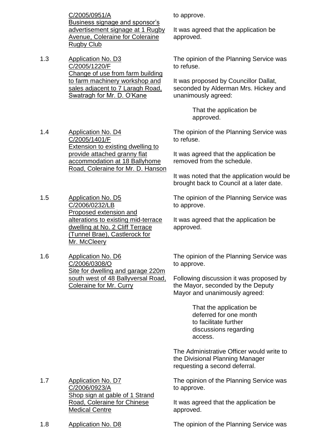C/2005/0951/A Business signage and sponsor's advertisement signage at 1 Rugby Avenue, Coleraine for Coleraine Rugby Club

1.3 Application No. D3 C/2005/1220/F Change of use from farm building to farm machinery workshop and sales adjacent to 7 Laragh Road, Swatragh for Mr. D. O'Kane

to approve.

It was agreed that the application be approved.

The opinion of the Planning Service was to refuse.

It was proposed by Councillor Dallat, seconded by Alderman Mrs. Hickey and unanimously agreed:

> That the application be approved.

The opinion of the Planning Service was to refuse.

It was agreed that the application be removed from the schedule.

It was noted that the application would be brought back to Council at a later date.

The opinion of the Planning Service was to approve.

It was agreed that the application be approved.

The opinion of the Planning Service was to approve.

Following discussion it was proposed by the Mayor, seconded by the Deputy Mayor and unanimously agreed:

> That the application be deferred for one month to facilitate further discussions regarding access.

The Administrative Officer would write to the Divisional Planning Manager requesting a second deferral.

The opinion of the Planning Service was to approve.

It was agreed that the application be approved.

1.7 Application No. D7 C/2006/0923/A Shop sign at gable of 1 Strand Road, Coleraine for Chinese Medical Centre

1.8 Application No. D8 The opinion of the Planning Service was

1.4 Application No. D4 C/2005/1401/F Extension to existing dwelling to provide attached granny flat accommodation at 18 Ballyhome Road, Coleraine for Mr. D. Hanson

1.5 Application No. D5 C/2006/0232/LB Proposed extension and alterations to existing mid-terrace dwelling at No. 2 Cliff Terrace (Tunnel Brae), Castlerock for Mr. McCleery

1.6 Application No. D6 C/2006/0308/O Site for dwelling and garage 220m south west of 48 Ballyversal Road, Coleraine for Mr. Curry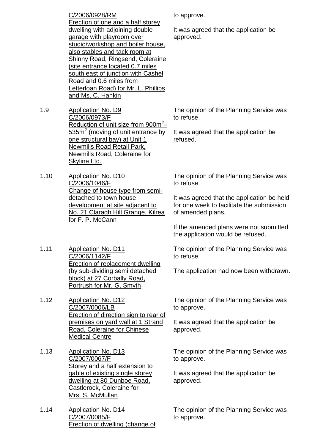C/2006/0928/RM Erection of one and a half storey dwelling with adjoining double garage with playroom over studio/workshop and boiler house, also stables and tack room at Shinny Road, Ringsend, Coleraine (site entrance located 0.7 miles south east of junction with Cashel Road and 0.6 miles from Letterloan Road) for Mr. L. Phillips and Ms. C. Hankin

- 1.9 Application No. D9 C/2006/0973/F Reduction of unit size from 900m<sup>2</sup>- $535m^2$  (moving of unit entrance by one structural bay) at Unit 1 Newmills Road Retail Park, Newmills Road, Coleraine for Skyline Ltd.
- 1.10 Application No. D10 C/2006/1046/F Change of house type from semidetached to town house development at site adjacent to No. 21 Claragh Hill Grange, Kilrea for F. P. McCann
- 1.11 Application No. D11 C/2006/1142/F Erection of replacement dwelling (by sub-dividing semi detached block) at 27 Corbally Road, Portrush for Mr. G. Smyth
- 1.12 Application No. D12 C/2007/0006/LB Erection of direction sign to rear of premises on yard wall at 1 Strand Road, Coleraine for Chinese Medical Centre
- 1.13 Application No. D13 C/2007/0067/F Storey and a half extension to gable of existing single storey dwelling at 80 Dunboe Road, Castlerock, Coleraine for Mrs. S. McMullan
- 1.14 Application No. D14 C/2007/0085/F Erection of dwelling (change of

to approve.

It was agreed that the application be approved.

The opinion of the Planning Service was to refuse.

It was agreed that the application be refused.

The opinion of the Planning Service was to refuse.

It was agreed that the application be held for one week to facilitate the submission of amended plans.

If the amended plans were not submitted the application would be refused.

The opinion of the Planning Service was to refuse.

The application had now been withdrawn.

The opinion of the Planning Service was to approve.

It was agreed that the application be approved.

The opinion of the Planning Service was to approve.

It was agreed that the application be approved.

The opinion of the Planning Service was to approve.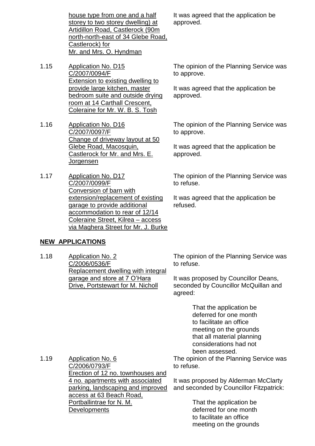house type from one and a half storey to two storey dwelling) at Artidillon Road, Castlerock (90m north-north-east of 34 Glebe Road, Castlerock) for Mr. and Mrs. O. Hyndman

- 1.15 Application No. D15 C/2007/0094/F Extension to existing dwelling to provide large kitchen, master bedroom suite and outside drying room at 14 Carthall Crescent, Coleraine for Mr. W. B. S. Tosh
- 1.16 Application No. D16 C/2007/0097/F Change of driveway layout at 50 Glebe Road, Macosquin, Castlerock for Mr. and Mrs. E. **Jorgensen**
- 1.17 Application No. D17 C/2007/0099/F Conversion of barn with extension/replacement of existing garage to provide additional accommodation to rear of 12/14 Coleraine Street, Kilrea - access via Maghera Street for Mr. J. Burke

**NEW APPLICATIONS**

1.18 Application No. 2 C/2006/0536/F Replacement dwelling with integral garage and store at 7 O'Hara Drive, Portstewart for M. Nicholl

The opinion of the Planning Service was to refuse.

It was proposed by Councillor Deans, seconded by Councillor McQuillan and agreed:

> That the application be deferred for one month to facilitate an office meeting on the grounds that all material planning considerations had not been assessed.

The opinion of the Planning Service was to refuse.

It was proposed by Alderman McClarty and seconded by Councillor Fitzpatrick:

> That the application be deferred for one month to facilitate an office meeting on the grounds

1.19 Application No. 6 C/2006/0793/F Erection of 12 no. townhouses and 4 no. apartments with associated parking, landscaping and improved access at 63 Beach Road, Portballintrae for N. M. **Developments** 

The opinion of the Planning Service was to approve. It was agreed that the application be

approved.

The opinion of the Planning Service was

to approve.

It was agreed that the application be approved.

The opinion of the Planning Service was to refuse.

It was agreed that the application be refused.

It was agreed that the application be approved.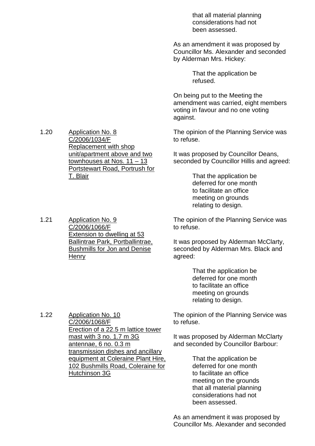that all material planning considerations had not been assessed.

As an amendment it was proposed by Councillor Ms. Alexander and seconded by Alderman Mrs. Hickey:

> That the application be refused.

On being put to the Meeting the amendment was carried, eight members voting in favour and no one voting against.

The opinion of the Planning Service was to refuse.

It was proposed by Councillor Deans, seconded by Councillor Hillis and agreed:

> That the application be deferred for one month to facilitate an office meeting on grounds relating to design.

The opinion of the Planning Service was to refuse.

It was proposed by Alderman McClarty, seconded by Alderman Mrs. Black and agreed:

> That the application be deferred for one month to facilitate an office meeting on grounds relating to design.

The opinion of the Planning Service was to refuse.

It was proposed by Alderman McClarty and seconded by Councillor Barbour:

> That the application be deferred for one month to facilitate an office meeting on the grounds that all material planning considerations had not been assessed.

1.20 Application No. 8 C/2006/1034/F Replacement with shop unit/apartment above and two townhouses at Nos. 11 –13 Portstewart Road, Portrush for T. Blair

1.21 Application No. 9 C/2006/1066/F Extension to dwelling at 53 Ballintrae Park, Portballintrae, Bushmills for Jon and Denise **Henry** 

1.22 Application No. 10 C/2006/1068/F Erection of a 22.5 m lattice tower mast with 3 no. 1.7 m 3G antennae, 6 no. 0.3 m transmission dishes and ancillary equipment at Coleraine Plant Hire, 102 Bushmills Road, Coleraine for Hutchinson 3G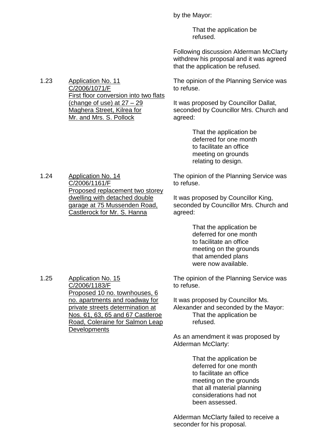by the Mayor:

That the application be refused.

Following discussion Alderman McClarty withdrew his proposal and it was agreed that the application be refused.

The opinion of the Planning Service was to refuse.

It was proposed by Councillor Dallat, seconded by Councillor Mrs. Church and agreed:

> That the application be deferred for one month to facilitate an office meeting on grounds relating to design.

The opinion of the Planning Service was to refuse.

It was proposed by Councillor King, seconded by Councillor Mrs. Church and agreed:

> That the application be deferred for one month to facilitate an office meeting on the grounds that amended plans were now available.

The opinion of the Planning Service was to refuse.

It was proposed by Councillor Ms. Alexander and seconded by the Mayor: That the application be refused.

As an amendment it was proposed by Alderman McClarty:

> That the application be deferred for one month to facilitate an office meeting on the grounds that all material planning considerations had not been assessed.

Alderman McClarty failed to receive a seconder for his proposal.

1.23 Application No. 11 C/2006/1071/F First floor conversion into two flats (change of use) at  $27 - 29$ Maghera Street, Kilrea for Mr. and Mrs. S. Pollock

1.24 Application No. 14 C/2006/1161/F Proposed replacement two storey dwelling with detached double garage at 75 Mussenden Road, Castlerock for Mr. S. Hanna

1.25 Application No. 15 C/2006/1183/F Proposed 10 no. townhouses, 6 no. apartments and roadway for private streets determination at Nos. 61, 63, 65 and 67 Castleroe Road, Coleraine for Salmon Leap **Developments**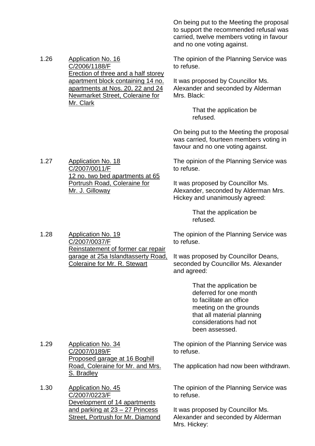On being put to the Meeting the proposal to support the recommended refusal was carried, twelve members voting in favour and no one voting against.

1.26 Application No. 16 C/2006/1188/F Erection of three and a half storey apartment block containing 14 no. apartments at Nos. 20, 22 and 24 Newmarket Street, Coleraine for Mr. Clark

1.27 Application No. 18

C/2007/0011/F

Mr. J. Gilloway

The opinion of the Planning Service was to refuse.

It was proposed by Councillor Ms. Alexander and seconded by Alderman Mrs. Black:

> That the application be refused.

On being put to the Meeting the proposal was carried, fourteen members voting in favour and no one voting against.

The opinion of the Planning Service was to refuse.

It was proposed by Councillor Ms. Alexander, seconded by Alderman Mrs. Hickey and unanimously agreed:

> That the application be refused.

1.28 Application No. 19 C/2007/0037/F Reinstatement of former car repair garage at 25a Islandtasserty Road, Coleraine for Mr. R. Stewart

12 no. two bed apartments at 65 Portrush Road, Coleraine for

> The opinion of the Planning Service was to refuse.

It was proposed by Councillor Deans, seconded by Councillor Ms. Alexander and agreed:

> That the application be deferred for one month to facilitate an office meeting on the grounds that all material planning considerations had not been assessed.

1.29 Application No. 34 C/2007/0189/F Proposed garage at 16 Boghill Road, Coleraine for Mr. and Mrs. S. Bradley

1.30 Application No. 45 C/2007/0223/F Development of 14 apartments and parking at 23 –27 Princess Street, Portrush for Mr. Diamond The opinion of the Planning Service was to refuse.

The application had now been withdrawn.

The opinion of the Planning Service was to refuse.

It was proposed by Councillor Ms. Alexander and seconded by Alderman Mrs. Hickey: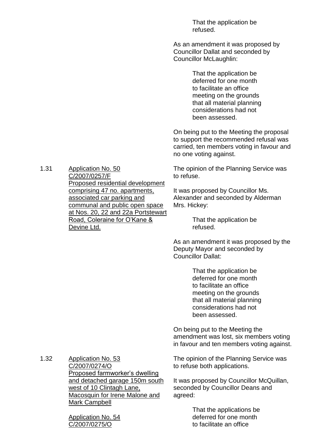That the application be refused.

As an amendment it was proposed by Councillor Dallat and seconded by Councillor McLaughlin:

> That the application be deferred for one month to facilitate an office meeting on the grounds that all material planning considerations had not been assessed.

On being put to the Meeting the proposal to support the recommended refusal was carried, ten members voting in favour and no one voting against.

The opinion of the Planning Service was to refuse.

It was proposed by Councillor Ms. Alexander and seconded by Alderman Mrs. Hickey:

> That the application be refused.

As an amendment it was proposed by the Deputy Mayor and seconded by Councillor Dallat:

> That the application be deferred for one month to facilitate an office meeting on the grounds that all material planning considerations had not been assessed.

On being put to the Meeting the amendment was lost, six members voting in favour and ten members voting against.

1.32 Application No. 53 C/2007/0274/O Proposed farmworker's dwelling and detached garage 150m south west of 10 Clintagh Lane, Macosquin for Irene Malone and Mark Campbell

> Application No. 54 C/2007/0275/O

The opinion of the Planning Service was to refuse both applications.

It was proposed by Councillor McQuillan, seconded by Councillor Deans and agreed:

> That the applications be deferred for one month to facilitate an office

1.31 Application No. 50 C/2007/0257/F Proposed residential development comprising 47 no. apartments, associated car parking and communal and public open space at Nos. 20, 22 and 22a Portstewart Road, Coleraine for O'Kane & Devine Ltd.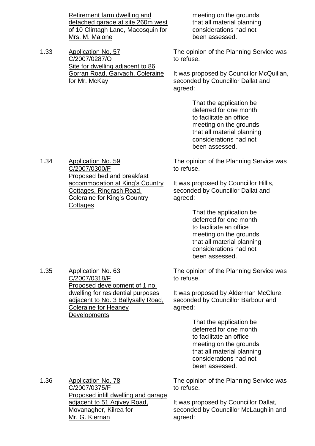Retirement farm dwelling and detached garage at site 260m west of 10 Clintagh Lane, Macosquin for Mrs. M. Malone

1.33 Application No. 57 C/2007/0287/O Site for dwelling adjacent to 86 Gorran Road, Garvagh, Coleraine for Mr. McKay

meeting on the grounds that all material planning considerations had not been assessed.

The opinion of the Planning Service was to refuse.

It was proposed by Councillor McQuillan, seconded by Councillor Dallat and agreed:

> That the application be deferred for one month to facilitate an office meeting on the grounds that all material planning considerations had not been assessed.

The opinion of the Planning Service was to refuse.

It was proposed by Councillor Hillis, seconded by Councillor Dallat and agreed:

> That the application be deferred for one month to facilitate an office meeting on the grounds that all material planning considerations had not been assessed.

The opinion of the Planning Service was to refuse.

It was proposed by Alderman McClure, seconded by Councillor Barbour and agreed:

> That the application be deferred for one month to facilitate an office meeting on the grounds that all material planning considerations had not been assessed.

The opinion of the Planning Service was to refuse.

It was proposed by Councillor Dallat, seconded by Councillor McLaughlin and agreed:

1.34 Application No. 59 C/2007/0300/F Proposed bed and breakfast accommodation at King's Country Cottages, Ringrash Road, Coleraine for King's Country **Cottages** 

1.35 Application No. 63 C/2007/0318/F Proposed development of 1 no. dwelling for residential purposes adjacent to No. 3 Ballysally Road, Coleraine for Heaney **Developments** 

1.36 Application No. 78 C/2007/0375/F Proposed infill dwelling and garage adjacent to 51 Agivey Road, Movanagher, Kilrea for Mr. G. Kiernan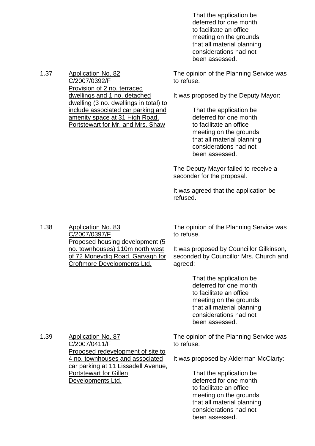That the application be deferred for one month to facilitate an office meeting on the grounds that all material planning considerations had not been assessed.

The opinion of the Planning Service was to refuse.

It was proposed by the Deputy Mayor:

That the application be deferred for one month to facilitate an office meeting on the grounds that all material planning considerations had not been assessed.

The Deputy Mayor failed to receive a seconder for the proposal.

It was agreed that the application be refused.

1.38 Application No. 83 C/2007/0397/F Proposed housing development (5 no. townhouses) 110m north west of 72 Moneydig Road, Garvagh for Croftmore Developments Ltd.

1.37 Application No. 82

C/2007/0392/F

Provision of 2 no. terraced dwellings and 1 no. detached

dwelling (3 no. dwellings in total) to include associated car parking and amenity space at 31 High Road, Portstewart for Mr. and Mrs. Shaw

> The opinion of the Planning Service was to refuse.

It was proposed by Councillor Gilkinson, seconded by Councillor Mrs. Church and agreed:

> That the application be deferred for one month to facilitate an office meeting on the grounds that all material planning considerations had not been assessed.

The opinion of the Planning Service was to refuse.

It was proposed by Alderman McClarty:

That the application be deferred for one month to facilitate an office meeting on the grounds that all material planning considerations had not been assessed.

1.39 Application No. 87 C/2007/0411/F Proposed redevelopment of site to 4 no. townhouses and associated car parking at 11 Lissadell Avenue, Portstewart for Gillen Developments Ltd.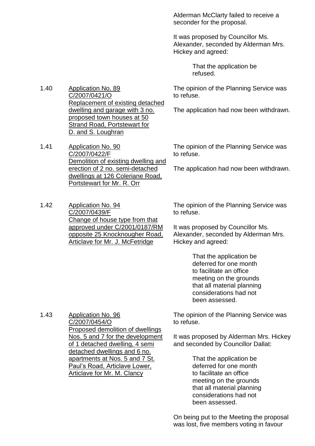Alderman McClarty failed to receive a seconder for the proposal.

It was proposed by Councillor Ms. Alexander, seconded by Alderman Mrs. Hickey and agreed:

> That the application be refused.

The opinion of the Planning Service was to refuse.

The application had now been withdrawn.

1.41 Application No. 90 C/2007/0422/F Demolition of existing dwelling and erection of 2 no. semi-detached dwellings at 126 Coleriane Road, Portstewart for Mr. R. Orr

Replacement of existing detached dwelling and garage with 3 no. proposed town houses at 50 Strand Road, Portstewart for

1.40 Application No. 89

C/2007/0421/O

D. and S. Loughran

1.42 Application No. 94 C/2007/0439/F Change of house type from that approved under C/2001/0187/RM opposite 25 Knocknougher Road, Articlave for Mr. J. McFetridge

The opinion of the Planning Service was to refuse.

The application had now been withdrawn.

The opinion of the Planning Service was to refuse.

It was proposed by Councillor Ms. Alexander, seconded by Alderman Mrs. Hickey and agreed:

> That the application be deferred for one month to facilitate an office meeting on the grounds that all material planning considerations had not been assessed.

1.43 Application No. 96 C/2007/0454/O Proposed demolition of dwellings Nos. 5 and 7 for the development of 1 detached dwelling, 4 semi detached dwellings and 6 no. apartments at Nos. 5 and 7 St. Paul's Road, Articlave Lower, Articlave for Mr. M. Clancy

The opinion of the Planning Service was to refuse.

It was proposed by Alderman Mrs. Hickey and seconded by Councillor Dallat:

> That the application be deferred for one month to facilitate an office meeting on the grounds that all material planning considerations had not been assessed.

On being put to the Meeting the proposal was lost, five members voting in favour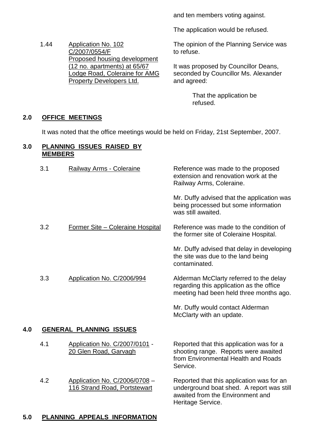and ten members voting against.

The application would be refused.

The opinion of the Planning Service was to refuse.

It was proposed by Councillor Deans, seconded by Councillor Ms. Alexander and agreed:

> That the application be refused.

#### **2.0 OFFICE MEETINGS**

It was noted that the office meetings would be held on Friday, 21st September, 2007.

#### **3.0 PLANNING ISSUES RAISED BY MEMBERS**

1.44 Application No. 102 C/2007/0554/F

> Proposed housing development (12 no. apartments) at 65/67 Lodge Road, Coleraine for AMG

Property Developers Ltd.

|     | 3.1 | Railway Arms - Coleraine                                      | Reference was made to the proposed<br>extension and renovation work at the<br>Railway Arms, Coleraine.                              |
|-----|-----|---------------------------------------------------------------|-------------------------------------------------------------------------------------------------------------------------------------|
|     |     |                                                               | Mr. Duffy advised that the application was<br>being processed but some information<br>was still awaited.                            |
|     | 3.2 | Former Site - Coleraine Hospital                              | Reference was made to the condition of<br>the former site of Coleraine Hospital.                                                    |
|     |     |                                                               | Mr. Duffy advised that delay in developing<br>the site was due to the land being<br>contaminated.                                   |
|     | 3.3 | Application No. C/2006/994                                    | Alderman McClarty referred to the delay<br>regarding this application as the office<br>meeting had been held three months ago.      |
|     |     |                                                               | Mr. Duffy would contact Alderman<br>McClarty with an update.                                                                        |
| 4.0 |     | <b>GENERAL PLANNING ISSUES</b>                                |                                                                                                                                     |
|     | 4.1 | Application No. C/2007/0101 -<br>20 Glen Road, Garvagh        | Reported that this application was for a<br>shooting range. Reports were awaited<br>from Environmental Health and Roads<br>Service. |
|     | 4.2 | Application No. C/2006/0708 -<br>116 Strand Road, Portstewart | Reported that this application was for an<br>underground boat shed. A report was still<br>awaited from the Environment and          |

Heritage Service.

#### **5.0 PLANNING APPEALS INFORMATION**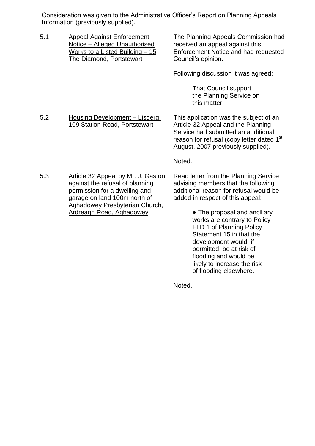Consideration was given to the Administrative Officer's Report on Planning Appeals Information (previously supplied).

5.1 Appeal Against Enforcement Notice –Alleged Unauthorised Works to a Listed Building –15 The Diamond, Portstewart

The Planning Appeals Commission had received an appeal against this Enforcement Notice and had requested Council's opinion.

Following discussion it was agreed:

That Council support the Planning Service on this matter.

5.2 Housing Development –Lisderg, 109 Station Road, Portstewart

This application was the subject of an Article 32 Appeal and the Planning Service had submitted an additional reason for refusal (copy letter dated 1<sup>st</sup> August, 2007 previously supplied).

Noted.

5.3 Article 32 Appeal by Mr. J. Gaston against the refusal of planning permission for a dwelling and garage on land 100m north of Aghadowey Presbyterian Church, Ardreagh Road, Aghadowey

Read letter from the Planning Service advising members that the following additional reason for refusal would be added in respect of this appeal:

> • The proposal and ancillary works are contrary to Policy FLD 1 of Planning Policy Statement 15 in that the development would, if permitted, be at risk of flooding and would be likely to increase the risk of flooding elsewhere.

Noted.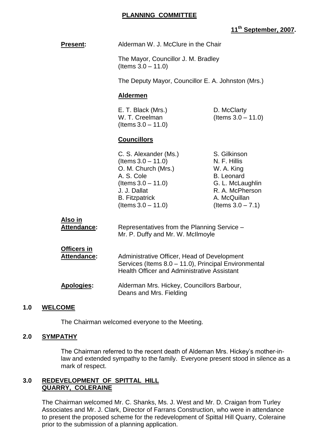# **11th September, 2007.**

| <b>Present:</b>                          | Alderman W. J. McClure in the Chair                                                                                                                                                  |                                                                                                                                                |
|------------------------------------------|--------------------------------------------------------------------------------------------------------------------------------------------------------------------------------------|------------------------------------------------------------------------------------------------------------------------------------------------|
|                                          | The Mayor, Councillor J. M. Bradley<br>(Items $3.0 - 11.0$ )                                                                                                                         |                                                                                                                                                |
|                                          | The Deputy Mayor, Councillor E. A. Johnston (Mrs.)                                                                                                                                   |                                                                                                                                                |
|                                          | <b>Aldermen</b>                                                                                                                                                                      |                                                                                                                                                |
|                                          | E. T. Black (Mrs.)<br>W. T. Creelman<br>$($ ltems $3.0 - 11.0)$                                                                                                                      | D. McClarty<br>(Items $3.0 - 11.0$ )                                                                                                           |
|                                          | <b>Councillors</b>                                                                                                                                                                   |                                                                                                                                                |
|                                          | C. S. Alexander (Ms.)<br>$($ ltems $3.0 - 11.0)$<br>O. M. Church (Mrs.)<br>A. S. Cole<br>$($ ltems $3.0 - 11.0)$<br>J. J. Dallat<br><b>B.</b> Fitzpatrick<br>$($ ltems $3.0 - 11.0)$ | S. Gilkinson<br>N. F. Hillis<br>W. A. King<br><b>B.</b> Leonard<br>G. L. McLaughlin<br>R. A. McPherson<br>A. McQuillan<br>(Items $3.0 - 7.1$ ) |
| <u>Also in</u><br>Attendance:            | Representatives from the Planning Service -<br>Mr. P. Duffy and Mr. W. McIlmoyle                                                                                                     |                                                                                                                                                |
| <b>Officers in</b><br><b>Attendance:</b> | Administrative Officer, Head of Development<br>Services (Items 8.0 - 11.0), Principal Environmental<br><b>Health Officer and Administrative Assistant</b>                            |                                                                                                                                                |
| <b>Apologies:</b>                        | Alderman Mrs. Hickey, Councillors Barbour,<br>Deans and Mrs. Fielding                                                                                                                |                                                                                                                                                |
| <b>WELCOME</b><br>1.0                    |                                                                                                                                                                                      |                                                                                                                                                |

The Chairman welcomed everyone to the Meeting.

## **2.0 SYMPATHY**

The Chairman referred to the recent death of Aldeman Mrs. Hickey's mother-inlaw and extended sympathy to the family. Everyone present stood in silence as a mark of respect.

#### **3.0 REDEVELOPMENT OF SPITTAL HILL QUARRY, COLERAINE**

The Chairman welcomed Mr. C. Shanks, Ms. J. West and Mr. D. Craigan from Turley Associates and Mr. J. Clark, Director of Farrans Construction, who were in attendance to present the proposed scheme for the redevelopment of Spittal Hill Quarry, Coleraine prior to the submission of a planning application.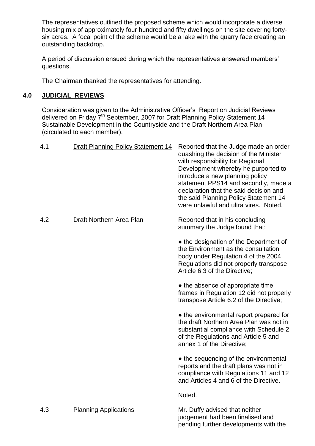The representatives outlined the proposed scheme which would incorporate a diverse housing mix of approximately four hundred and fifty dwellings on the site covering fortysix acres. A focal point of the scheme would be a lake with the quarry face creating an outstanding backdrop.

A period of discussion ensued during which the representatives answered members' questions.

The Chairman thanked the representatives for attending.

## **4.0 JUDICIAL REVIEWS**

Consideration was given to the Administrative Officer's Report on Judicial Reviews delivered on Friday 7<sup>th</sup> September, 2007 for Draft Planning Policy Statement 14 Sustainable Development in the Countryside and the Draft Northern Area Plan (circulated to each member).

| 4.1 | <b>Draft Planning Policy Statement 14</b> | Reported that the Judge made an order<br>quashing the decision of the Minister<br>with responsibility for Regional<br>Development whereby he purported to<br>introduce a new planning policy<br>statement PPS14 and secondly, made a<br>declaration that the said decision and<br>the said Planning Policy Statement 14<br>were unlawful and ultra vires. Noted. |
|-----|-------------------------------------------|------------------------------------------------------------------------------------------------------------------------------------------------------------------------------------------------------------------------------------------------------------------------------------------------------------------------------------------------------------------|
| 4.2 | <b>Draft Northern Area Plan</b>           | Reported that in his concluding<br>summary the Judge found that:                                                                                                                                                                                                                                                                                                 |
|     |                                           | • the designation of the Department of<br>the Environment as the consultation<br>body under Regulation 4 of the 2004<br>Regulations did not properly transpose<br>Article 6.3 of the Directive;                                                                                                                                                                  |
|     |                                           | • the absence of appropriate time<br>frames in Regulation 12 did not properly<br>transpose Article 6.2 of the Directive;                                                                                                                                                                                                                                         |
|     |                                           | • the environmental report prepared for<br>the draft Northern Area Plan was not in<br>substantial compliance with Schedule 2<br>of the Regulations and Article 5 and<br>annex 1 of the Directive;                                                                                                                                                                |
|     |                                           | • the sequencing of the environmental<br>reports and the draft plans was not in<br>compliance with Regulations 11 and 12<br>and Articles 4 and 6 of the Directive.                                                                                                                                                                                               |
|     |                                           | Noted.                                                                                                                                                                                                                                                                                                                                                           |
| 4.3 | <b>Planning Applications</b>              | Mr. Duffy advised that neither<br>judgement had been finalised and<br>pending further developments with the                                                                                                                                                                                                                                                      |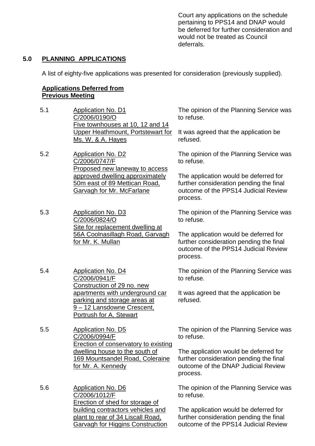Court any applications on the schedule pertaining to PPS14 and DNAP would be deferred for further consideration and would not be treated as Council deferrals.

#### **5.0 PLANNING APPLICATIONS**

A list of eighty-five applications was presented for consideration (previously supplied).

#### **Applications Deferred from Previous Meeting**

- 5.1 Application No. D1 C/2006/0190/O Five townhouses at 10, 12 and 14 Upper Heathmount, Portstewart for Ms. W. & A. Hayes
- 5.2 Application No. D2 C/2006/0747/F Proposed new laneway to access approved dwelling approximately 50m east of 89 Mettican Road, Garvagh for Mr. McFarlane
- 5.3 Application No. D3 C/2006/0824/O Site for replacement dwelling at 56A Coolnasillagh Road, Garvagh for Mr. K. Mullan
- 5.4 Application No. D4 C/2006/0941/F Construction of 29 no. new apartments with underground car parking and storage areas at 9 –12 Lansdowne Crescent, Portrush for A. Stewart
- 5.5 Application No. D5 C/2006/0994/F Erection of conservatory to existing dwelling house to the south of 169 Mountsandel Road, Coleraine for Mr. A. Kennedy
- 5.6 Application No. D6 C/2006/1012/F Erection of shed for storage of building contractors vehicles and plant to rear of 34 Liscall Road, Garvagh for Higgins Construction

The opinion of the Planning Service was to refuse.

It was agreed that the application be refused.

The opinion of the Planning Service was to refuse.

The application would be deferred for further consideration pending the final outcome of the PPS14 Judicial Review process.

The opinion of the Planning Service was to refuse.

The application would be deferred for further consideration pending the final outcome of the PPS14 Judicial Review process.

The opinion of the Planning Service was to refuse.

It was agreed that the application be refused.

The opinion of the Planning Service was to refuse.

The application would be deferred for further consideration pending the final outcome of the DNAP Judicial Review process.

The opinion of the Planning Service was to refuse.

The application would be deferred for further consideration pending the final outcome of the PPS14 Judicial Review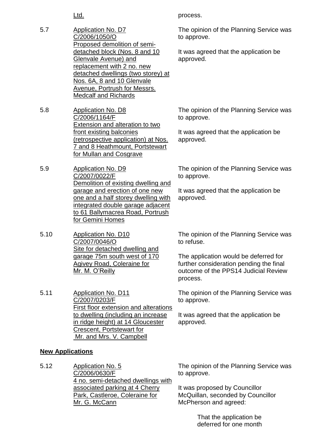- 5.7 Application No. D7 C/2006/1050/O Proposed demolition of semidetached block (Nos. 8 and 10 Glenvale Avenue) and replacement with 2 no. new detached dwellings (two storey) at Nos. 6A, 8 and 10 Glenvale Avenue, Portrush for Messrs. Medcalf and Richards
- 5.8 Application No. D8 C/2006/1164/F Extension and alteration to two front existing balconies (retrospective application) at Nos. 7 and 8 Heathmount, Portstewart for Mullan and Cosgrave
- 5.9 Application No. D9 C/2007/0022/F Demolition of existing dwelling and garage and erection of one new one and a half storey dwelling with integrated double garage adjacent to 61 Ballymacrea Road, Portrush for Gemini Homes
- 5.10 Application No. D10 C/2007/0046/O Site for detached dwelling and garage 75m south west of 170 Agivey Road, Coleraine for Mr. M. O'Reilly
- 5.11 Application No. D11 C/2007/0203/F First floor extension and alterations to dwelling (including an increase in ridge height) at 14 Gloucester Crescent, Portstewart for Mr. and Mrs. V. Campbell

## **New Applications**

5.12 Application No. 5 C/2006/0630/F 4 no. semi-detached dwellings with associated parking at 4 Cherry Park, Castleroe, Coleraine for Mr. G. McCann

Ltd. **process.** 

The opinion of the Planning Service was to approve.

It was agreed that the application be approved.

The opinion of the Planning Service was to approve.

It was agreed that the application be approved.

The opinion of the Planning Service was to approve.

It was agreed that the application be approved.

The opinion of the Planning Service was to refuse.

The application would be deferred for further consideration pending the final outcome of the PPS14 Judicial Review process.

The opinion of the Planning Service was to approve.

It was agreed that the application be approved.

The opinion of the Planning Service was to approve.

It was proposed by Councillor McQuillan, seconded by Councillor McPherson and agreed:

> That the application be deferred for one month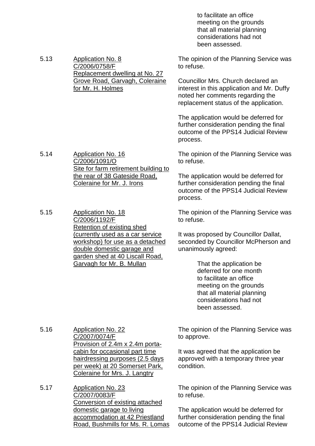to facilitate an office meeting on the grounds that all material planning considerations had not been assessed.

5.13 Application No. 8 C/2006/0758/F Replacement dwelling at No. 27 Grove Road, Garvagh, Coleraine The opinion of the Planning Service was to refuse.

Councillor Mrs. Church declared an interest in this application and Mr. Duffy noted her comments regarding the replacement status of the application.

The application would be deferred for further consideration pending the final outcome of the PPS14 Judicial Review process.

The opinion of the Planning Service was to refuse.

The application would be deferred for further consideration pending the final outcome of the PPS14 Judicial Review process.

The opinion of the Planning Service was to refuse.

It was proposed by Councillor Dallat, seconded by Councillor McPherson and unanimously agreed:

> That the application be deferred for one month to facilitate an office meeting on the grounds that all material planning considerations had not been assessed.

5.16 Application No. 22 C/2007/0074/F Provision of 2.4m x 2.4m portacabin for occasional part time hairdressing purposes (2.5 days per week) at 20 Somerset Park, Coleraine for Mrs. J. Langtry

5.17 Application No. 23 C/2007/0083/F Conversion of existing attached domestic garage to living accommodation at 42 Priestland Road, Bushmills for Ms. R. Lomas The opinion of the Planning Service was to approve.

It was agreed that the application be approved with a temporary three year condition.

The opinion of the Planning Service was to refuse.

The application would be deferred for further consideration pending the final outcome of the PPS14 Judicial Review

5.14 Application No. 16 C/2006/1091/O Site for farm retirement building to the rear of 38 Gateside Road, Coleraine for Mr. J. Irons

for Mr. H. Holmes

5.15 Application No. 18 C/2006/1192/F Retention of existing shed (currently used as a car service workshop) for use as a detached double domestic garage and garden shed at 40 Liscall Road, Garvagh for Mr. B. Mullan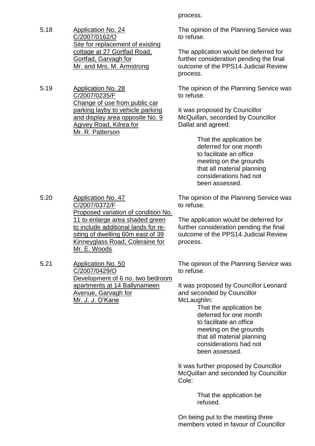- 5.18 Application No. 24 C/2007/0162/O Site for replacement of existing cottage at 27 Gortfad Road, Gortfad, Garvagh for Mr. and Mrs. M. Armstrong
- 5.19 Application No. 28 C/2007/0235/F Change of use from public car parking layby to vehicle parking and display area opposite No. 9 Agivey Road, Kilrea for Mr. R. Patterson

process.

The opinion of the Planning Service was to refuse.

The application would be deferred for further consideration pending the final outcome of the PPS14 Judicial Review process.

The opinion of the Planning Service was to refuse.

It was proposed by Councillor McQuillan, seconded by Councillor Dallat and agreed:

> That the application be deferred for one month to facilitate an office meeting on the grounds that all material planning considerations had not been assessed.

5.20 Application No. 47 C/2007/0372/F Proposed variation of condition No. 11 to enlarge area shaded green to include additional lands for resiting of dwelling 60m east of 39 Kinneyglass Road, Coleraine for Mr. E. Woods

5.21 Application No. 50 C/2007/0429/O Development of 6 no. two bedroom apartments at 14 Ballynameen Avenue, Garvagh for Mr.J.J.O'Kane

The opinion of the Planning Service was to refuse.

The application would be deferred for further consideration pending the final outcome of the PPS14 Judicial Review process.

The opinion of the Planning Service was to refuse.

It was proposed by Councillor Leonard and seconded by Councillor McLaughlin:

> That the application be deferred for one month to facilitate an office meeting on the grounds that all material planning considerations had not been assessed.

It was further proposed by Councillor McQuillan and seconded by Councillor Cole:

> That the application be refused.

On being put to the meeting three members voted in favour of Councillor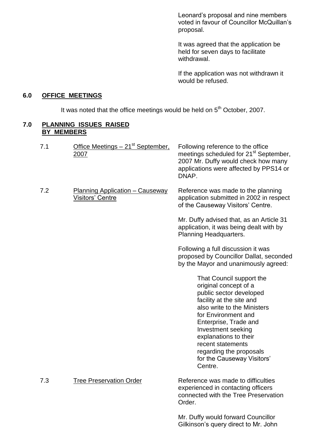Leonard's proposal and nine members voted in favour of Councillor McQuillan's proposal.

It was agreed that the application be held for seven days to facilitate withdrawal.

If the application was not withdrawn it would be refused.

#### **6.0 OFFICE MEETINGS**

It was noted that the office meetings would be held on  $5<sup>th</sup>$  October, 2007.

#### **7.0 PLANNING ISSUES RAISED BY MEMBERS**

| 7.1 | Office Meetings - 21 <sup>st</sup> September,<br>2007             | Following reference to the office<br>meetings scheduled for 21 <sup>st</sup> September,<br>2007 Mr. Duffy would check how many<br>applications were affected by PPS14 or<br>DNAP.                                                                                                                                               |
|-----|-------------------------------------------------------------------|---------------------------------------------------------------------------------------------------------------------------------------------------------------------------------------------------------------------------------------------------------------------------------------------------------------------------------|
| 7.2 | <b>Planning Application - Causeway</b><br><b>Visitors' Centre</b> | Reference was made to the planning<br>application submitted in 2002 in respect<br>of the Causeway Visitors' Centre.                                                                                                                                                                                                             |
|     |                                                                   | Mr. Duffy advised that, as an Article 31<br>application, it was being dealt with by<br>Planning Headquarters.                                                                                                                                                                                                                   |
|     |                                                                   | Following a full discussion it was<br>proposed by Councillor Dallat, seconded<br>by the Mayor and unanimously agreed:                                                                                                                                                                                                           |
|     |                                                                   | That Council support the<br>original concept of a<br>public sector developed<br>facility at the site and<br>also write to the Ministers<br>for Environment and<br>Enterprise, Trade and<br>Investment seeking<br>explanations to their<br>recent statements<br>regarding the proposals<br>for the Causeway Visitors'<br>Centre. |
| 7.3 | <b>Tree Preservation Order</b>                                    | Reference was made to difficulties<br>experienced in contacting officers<br>connected with the Tree Preservation<br>Order.                                                                                                                                                                                                      |
|     |                                                                   | Mr. Duffy would forward Councillor<br>Gilkinson's query direct to Mr. John                                                                                                                                                                                                                                                      |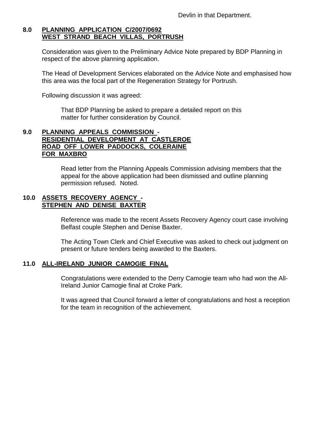## **8.0 PLANNING APPLICATION C/2007/0692 WEST STRAND BEACH VILLAS, PORTRUSH**

Consideration was given to the Preliminary Advice Note prepared by BDP Planning in respect of the above planning application.

The Head of Development Services elaborated on the Advice Note and emphasised how this area was the focal part of the Regeneration Strategy for Portrush.

Following discussion it was agreed:

That BDP Planning be asked to prepare a detailed report on this matter for further consideration by Council.

#### **9.0 PLANNING APPEALS COMMISSION - RESIDENTIAL DEVELOPMENT AT CASTLEROE ROAD OFF LOWER PADDOCKS, COLERAINE FOR MAXBRO**

Read letter from the Planning Appeals Commission advising members that the appeal for the above application had been dismissed and outline planning permission refused. Noted.

#### **10.0 ASSETS RECOVERY AGENCY - STEPHEN AND DENISE BAXTER**

Reference was made to the recent Assets Recovery Agency court case involving Belfast couple Stephen and Denise Baxter.

The Acting Town Clerk and Chief Executive was asked to check out judgment on present or future tenders being awarded to the Baxters.

## **11.0 ALL-IRELAND JUNIOR CAMOGIE FINAL**

Congratulations were extended to the Derry Camogie team who had won the All-Ireland Junior Camogie final at Croke Park.

It was agreed that Council forward a letter of congratulations and host a reception for the team in recognition of the achievement.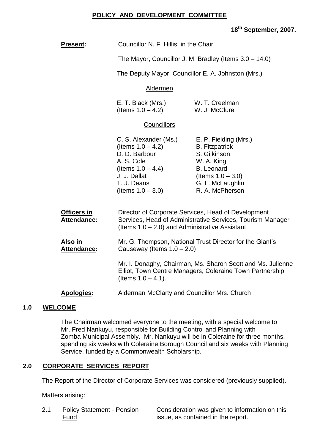#### **POLICY AND DEVELOPMENT COMMITTEE**

## **18th September, 2007.**

| Present:                          | Councillor N. F. Hillis, in the Chair                                                                                                                                  |                                                                                                                                                                  |
|-----------------------------------|------------------------------------------------------------------------------------------------------------------------------------------------------------------------|------------------------------------------------------------------------------------------------------------------------------------------------------------------|
|                                   | The Mayor, Councillor J. M. Bradley (Items $3.0 - 14.0$ )                                                                                                              |                                                                                                                                                                  |
|                                   | The Deputy Mayor, Councillor E. A. Johnston (Mrs.)                                                                                                                     |                                                                                                                                                                  |
|                                   | Aldermen                                                                                                                                                               |                                                                                                                                                                  |
|                                   | E. T. Black (Mrs.)<br>(Items $1.0 - 4.2$ )                                                                                                                             | W. T. Creelman<br>W. J. McClure                                                                                                                                  |
|                                   | <b>Councillors</b>                                                                                                                                                     |                                                                                                                                                                  |
|                                   | C. S. Alexander (Ms.)<br>(Items $1.0 - 4.2$ )<br>D. D. Barbour<br>A. S. Cole<br>(Items $1.0 - 4.4$ )<br>J. J. Dallat<br>T. J. Deans<br>(Items $1.0 - 3.0$ )            | E. P. Fielding (Mrs.)<br><b>B.</b> Fitzpatrick<br>S. Gilkinson<br>W. A. King<br><b>B.</b> Leonard<br>(Items $1.0 - 3.0$ )<br>G. L. McLaughlin<br>R. A. McPherson |
| <b>Officers in</b><br>Attendance: | Director of Corporate Services, Head of Development<br>Services, Head of Administrative Services, Tourism Manager<br>(Items $1.0 - 2.0$ ) and Administrative Assistant |                                                                                                                                                                  |
| <u>Also in</u><br>Attendance:     | Mr. G. Thompson, National Trust Director for the Giant's<br>Causeway (Items $1.0 - 2.0$ )                                                                              |                                                                                                                                                                  |
|                                   | (Items $1.0 - 4.1$ ).                                                                                                                                                  | Mr. I. Donaghy, Chairman, Ms. Sharon Scott and Ms. Julienne<br>Elliot, Town Centre Managers, Coleraine Town Partnership                                          |
| <b>Apologies:</b>                 | Alderman McClarty and Councillor Mrs. Church                                                                                                                           |                                                                                                                                                                  |
|                                   |                                                                                                                                                                        |                                                                                                                                                                  |

#### **1.0 WELCOME**

The Chairman welcomed everyone to the meeting, with a special welcome to Mr. Fred Nankuyu, responsible for Building Control and Planning with Zomba Municipal Assembly. Mr. Nankuyu will be in Coleraine for three months, spending six weeks with Coleraine Borough Council and six weeks with Planning Service, funded by a Commonwealth Scholarship.

## **2.0 CORPORATE SERVICES REPORT**

The Report of the Director of Corporate Services was considered (previously supplied).

Matters arising:

2.1 Policy Statement - Pension Consideration was given to information on this Fund **issue, as contained in the report.**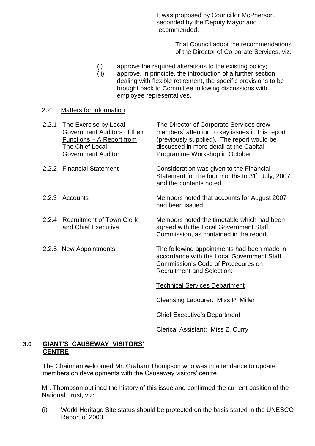It was proposed by Councillor McPherson, seconded by the Deputy Mayor and recommended:

> That Council adopt the recommendations of the Director of Corporate Services, viz:

- (i) approve the required alterations to the existing policy;
- (ii) approve, in principle, the introduction of a further section dealing with flexible retirement, the specific provisions to be brought back to Committee following discussions with employee representatives.

#### 2.2 Matters for Information

- 2.2.1 The Exercise by Local The Director of Corporate Services drew Government Auditors of their members' attention to key issues in this report<br>Functions – A Report from (previously supplied). The report would be (previously supplied). The report would be The Chief Local discussed in more detail at the Capital Government Auditor **Programme Workshop in October.** 2.2.2 Financial Statement Consideration was given to the Financial Statement for the four months to 31<sup>st</sup> July, 2007 and the contents noted.
- 2.2.3 Accounts Members noted that accounts for August 2007 had been issued.
- 2.2.4 Recruitment of Town Clerk Members noted the timetable which had been and Chief Executive agreed with the Local Government Staff Commission, as contained in the report.
- 2.2.5 New Appointments The following appointments had been made in accordance with the Local Government Staff Commission's Code of Procedures on Recruitment and Selection:

Technical Services Department

Cleansing Labourer: Miss P. Miller

Chief Executive's Department

Clerical Assistant: Miss Z. Curry

#### **3.0 GIANT'S CAUSEWAY VISITORS' CENTRE**

The Chairman welcomed Mr. Graham Thompson who was in attendance to update members on developments with the Causeway visitors' centre.

Mr. Thompson outlined the history of this issue and confirmed the current position of the National Trust, viz:

(i) World Heritage Site status should be protected on the basis stated in the UNESCO Report of 2003.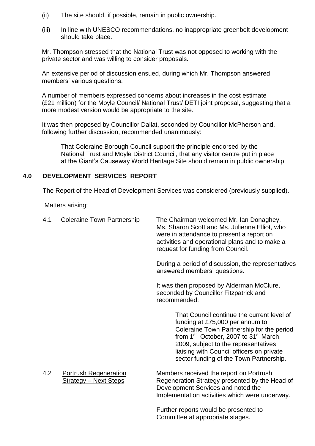- (ii) The site should. if possible, remain in public ownership.
- (iii) In line with UNESCO recommendations, no inappropriate greenbelt development should take place.

Mr. Thompson stressed that the National Trust was not opposed to working with the private sector and was willing to consider proposals.

An extensive period of discussion ensued, during which Mr. Thompson answered members' various questions.

A number of members expressed concerns about increases in the cost estimate (£21 million) for the Moyle Council/ National Trust/ DETI joint proposal, suggesting that a more modest version would be appropriate to the site.

It was then proposed by Councillor Dallat, seconded by Councillor McPherson and, following further discussion, recommended unanimously:

That Coleraine Borough Council support the principle endorsed by the National Trust and Moyle District Council, that any visitor centre put in place at the Giant's Causeway World Heritage Site should remain in public ownership.

#### **4.0 DEVELOPMENT SERVICES REPORT**

The Report of the Head of Development Services was considered (previously supplied).

Matters arising:

| 4.1 | <b>Coleraine Town Partnership</b>                            | The Chairman welcomed Mr. Ian Donaghey,<br>Ms. Sharon Scott and Ms. Julienne Elliot, who<br>were in attendance to present a report on<br>activities and operational plans and to make a<br>request for funding from Council.                                                                                                |
|-----|--------------------------------------------------------------|-----------------------------------------------------------------------------------------------------------------------------------------------------------------------------------------------------------------------------------------------------------------------------------------------------------------------------|
|     |                                                              | During a period of discussion, the representatives<br>answered members' questions.                                                                                                                                                                                                                                          |
|     |                                                              | It was then proposed by Alderman McClure,<br>seconded by Councillor Fitzpatrick and<br>recommended:                                                                                                                                                                                                                         |
|     |                                                              | That Council continue the current level of<br>funding at £75,000 per annum to<br>Coleraine Town Partnership for the period<br>from 1 <sup>st</sup> October, 2007 to 31 <sup>st</sup> March,<br>2009, subject to the representatives<br>liaising with Council officers on private<br>sector funding of the Town Partnership. |
| 4.2 | <b>Portrush Regeneration</b><br><b>Strategy - Next Steps</b> | Members received the report on Portrush<br>Regeneration Strategy presented by the Head of<br>Development Services and noted the<br>Implementation activities which were underway.                                                                                                                                           |
|     |                                                              | Further reports would be presented to                                                                                                                                                                                                                                                                                       |

Committee at appropriate stages.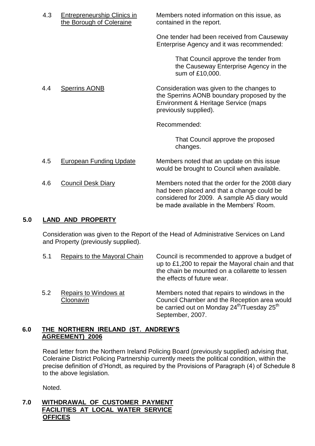| 4.3 | <b>Entrepreneurship Clinics in</b><br>the Borough of Coleraine | Members noted information on this issue, as<br>contained in the report.                                                                                                                  |
|-----|----------------------------------------------------------------|------------------------------------------------------------------------------------------------------------------------------------------------------------------------------------------|
|     |                                                                | One tender had been received from Causeway<br>Enterprise Agency and it was recommended:                                                                                                  |
|     |                                                                | That Council approve the tender from<br>the Causeway Enterprise Agency in the<br>sum of £10,000.                                                                                         |
| 4.4 | <b>Sperrins AONB</b>                                           | Consideration was given to the changes to<br>the Sperrins AONB boundary proposed by the<br>Environment & Heritage Service (maps<br>previously supplied).                                 |
|     |                                                                | Recommended:                                                                                                                                                                             |
|     |                                                                | That Council approve the proposed<br>changes.                                                                                                                                            |
| 4.5 | <b>European Funding Update</b>                                 | Members noted that an update on this issue<br>would be brought to Council when available.                                                                                                |
| 4.6 | <b>Council Desk Diary</b>                                      | Members noted that the order for the 2008 diary<br>had been placed and that a change could be<br>considered for 2009. A sample A5 diary would<br>be made available in the Members' Room. |

#### **5.0 LAND AND PROPERTY**

Consideration was given to the Report of the Head of Administrative Services on Land and Property (previously supplied).

5.1 Repairs to the Mayoral Chain Council is recommended to approve a budget of up to £1,200 to repair the Mayoral chain and that the chain be mounted on a collarette to lessen the effects of future wear. 5.2 Repairs to Windows at Members noted that repairs to windows in the Cloonavin Council Chamber and the Reception area would be carried out on Monday 24<sup>th</sup>/Tuesday 25<sup>th</sup> September, 2007.

# **6.0 THE NORTHERN IRELAND (ST.ANDREW'S AGREEMENT) 2006**

Read letter from the Northern Ireland Policing Board (previously supplied) advising that, Coleraine District Policing Partnership currently meets the political condition, within the precise definition of d'Hondt, as required by the Provisions of Paragraph (4) of Schedule 8 to the above legislation.

Noted.

#### **7.0 WITHDRAWAL OF CUSTOMER PAYMENT FACILITIES AT LOCAL WATER SERVICE OFFICES**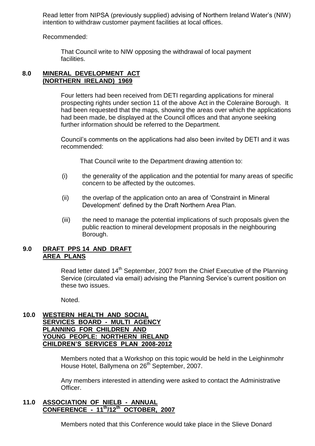Read letter from NIPSA (previously supplied) advising of Northern Ireland Water's (NIW) intention to withdraw customer payment facilities at local offices.

Recommended:

That Council write to NIW opposing the withdrawal of local payment facilities.

#### **8.0 MINERAL DEVELOPMENT ACT (NORTHERN IRELAND) 1969**

Four letters had been received from DETI regarding applications for mineral prospecting rights under section 11 of the above Act in the Coleraine Borough. It had been requested that the maps, showing the areas over which the applications had been made, be displayed at the Council offices and that anyone seeking further information should be referred to the Department.

Council's comments on the applications had also been invited by DETI and it was recommended:

That Council write to the Department drawing attention to:

- (i) the generality of the application and the potential for many areas of specific concern to be affected by the outcomes.
- (ii) the overlap of the application onto an area of 'Constraint in Mineral Development' defined by the Draft Northern Area Plan.
- (iii) the need to manage the potential implications of such proposals given the public reaction to mineral development proposals in the neighbouring Borough.

#### **9.0 DRAFT PPS 14 AND DRAFT AREA PLANS**

Read letter dated 14<sup>th</sup> September, 2007 from the Chief Executive of the Planning Service (circulated via email) advising the Planning Service's current position on these two issues.

Noted.

#### **10.0 WESTERN HEALTH AND SOCIAL SERVICES BOARD - MULTI AGENCY PLANNING FOR CHILDREN AND YOUNG PEOPLE: NORTHERN IRELAND CHILDREN'S SERVICES PLAN 2008-2012**

Members noted that a Workshop on this topic would be held in the Leighinmohr House Hotel, Ballymena on 26<sup>th</sup> September, 2007.

Any members interested in attending were asked to contact the Administrative Officer.

#### **11.0 ASSOCIATION OF NIELB - ANNUAL CONFERENCE - 11th/12th OCTOBER, 2007**

Members noted that this Conference would take place in the Slieve Donard